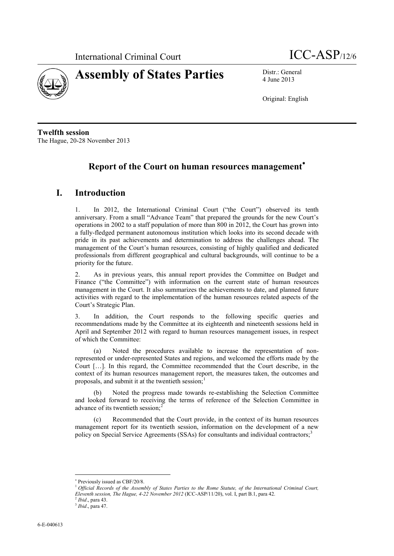



4 June 2013

Original: English

**Twelfth session** The Hague, 20-28 November 2013

# **Report of the Court on human resources management**

# **I. Introduction**

1. In 2012, the International Criminal Court ("the Court") observed its tenth anniversary. From a small "Advance Team" that prepared the grounds for the new Court's operations in 2002 to a staff population of more than 800 in 2012, the Court has grown into a fully-fledged permanent autonomous institution which looks into its second decade with pride in its past achievements and determination to address the challenges ahead. The management of the Court's human resources, consisting of highly qualified and dedicated professionals from different geographical and cultural backgrounds, will continue to be a priority for the future.

2. As in previous years, this annual report provides the Committee on Budget and Finance ("the Committee") with information on the current state of human resources management in the Court. It also summarizes the achievements to date, and planned future activities with regard to the implementation of the human resources related aspects of the Court's Strategic Plan.

3. In addition, the Court responds to the following specific queries and recommendations made by the Committee at its eighteenth and nineteenth sessions held in April and September 2012 with regard to human resources management issues, in respect of which the Committee:

(a) Noted the procedures available to increase the representation of nonrepresented or under-represented States and regions, and welcomed the efforts made by the Court […]. In this regard, the Committee recommended that the Court describe, in the context of its human resources management report, the measures taken, the outcomes and proposals, and submit it at the twentieth session;

Noted the progress made towards re-establishing the Selection Committee and looked forward to receiving the terms of reference of the Selection Committee in advance of its twentieth session;<sup>2</sup>

(c) Recommended that the Court provide, in the context of its human resources management report for its twentieth session, information on the development of a new policy on Special Service Agreements (SSAs) for consultants and individual contractors;<sup>3</sup>

<sup>\*</sup> Previously issued as CBF/20/8.

<sup>1</sup> *Official Records of the Assembly of States Parties to the Rome Statute, of the International Criminal Court, Eleventh session, The Hague, 4-22 November 2012* (ICC-ASP/11/20), vol. I, part B.1, para 42.

<sup>2</sup> *Ibid*., para 43.

<sup>3</sup> *Ibid*., para 47.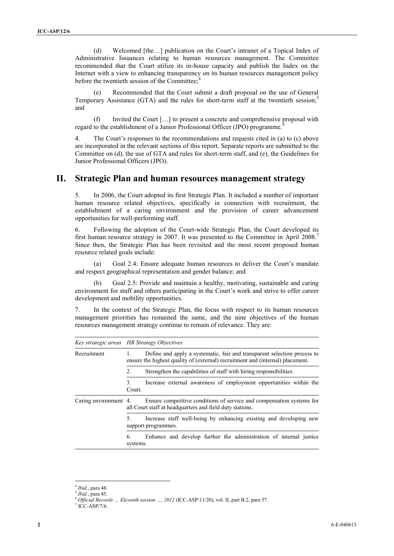(d) Welcomed [the…] publication on the Court's intranet of a Topical Index of Administrative Issuances relating to human resources management. The Committee recommended that the Court utilize its in-house capacity and publish the Index on the Internet with a view to enhancing transparency on its human resources management policy before the twentieth session of the Committee;

Recommended that the Court submit a draft proposal on the use of General Temporary Assistance (GTA) and the rules for short-term staff at the twentieth session; $\frac{5}{10}$ and

(f) Invited the Court […] to present a concrete and comprehensive proposal with regard to the establishment of a Junior Professional Officer (JPO) programme.

4. The Court's responses to the recommendations and requests cited in (a) to (c) above are incorporated in the relevant sections of this report. Separate reports are submitted to the Committee on (d), the use of GTA and rules for short-term staff, and (e), the Guidelines for Junior Professional Officers (JPO).

# **II. Strategic Plan and human resources management strategy**

5. In 2006, the Court adopted its first Strategic Plan. It included a number of important human resource related objectives, specifically in connection with recruitment, the establishment of a caring environment and the provision of career advancement opportunities for well-performing staff.

6. Following the adoption of the Court-wide Strategic Plan, the Court developed its first human resource strategy in 2007. It was presented to the Committee in April 2008.<sup>7</sup> Since then, the Strategic Plan has been revisited and the most recent proposed human resource related goals include:

(a) Goal 2.4: Ensure adequate human resources to deliver the Court's mandate and respect geographical representation and gender balance; and

(b) Goal 2.5: Provide and maintain a healthy, motivating, sustainable and caring environment for staff and others participating in the Court's work and strive to offer career development and mobility opportunities.

7. In the context of the Strategic Plan, the focus with respect to its human resources management priorities has remained the same, and the nine objectives of the human resources management strategy continue to remain of relevance. They are:

|                       | Key strategic areas HR Strategy Objectives                                                                                                                 |  |  |  |
|-----------------------|------------------------------------------------------------------------------------------------------------------------------------------------------------|--|--|--|
| Recruitment           | Define and apply a systematic, fair and transparent selection process to<br>ensure the highest quality of (external) recruitment and (internal) placement. |  |  |  |
|                       | Strengthen the capabilities of staff with hiring responsibilities.<br>2                                                                                    |  |  |  |
|                       | 3<br>Increase external awareness of employment opportunities within the<br>Court.                                                                          |  |  |  |
| Caring environment 4. | Ensure competitive conditions of service and compensation systems for<br>all Court staff at headquarters and field duty stations.                          |  |  |  |
|                       | Increase staff well-being by enhancing existing and developing new<br>5<br>support programmes.                                                             |  |  |  |
|                       | Enhance and develop further the administration of internal justice<br>6<br>systems.                                                                        |  |  |  |

<sup>4</sup> *Ibid*., para 48.

<sup>5</sup> *Ibid.*, para 45.

<sup>6</sup> *Official Records … Eleventh session …, 2012* (ICC-ASP/11/20), vol. II, part B.2, para 57.

<sup>7</sup> ICC-ASP/7/6.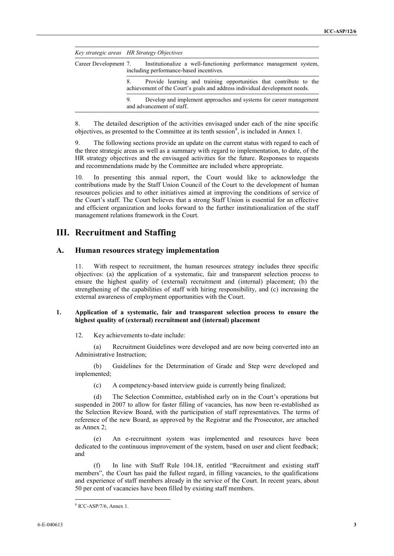|  | Key strategic areas HR Strategy Objectives                                                                                                             |  |  |
|--|--------------------------------------------------------------------------------------------------------------------------------------------------------|--|--|
|  | Career Development 7. Institutionalize a well-functioning performance management system,<br>including performance-based incentives.                    |  |  |
|  | Provide learning and training opportunities that contribute to the<br>8.<br>achievement of the Court's goals and address individual development needs. |  |  |
|  | Develop and implement approaches and systems for career management<br>9.<br>and advancement of staff.                                                  |  |  |

8. The detailed description of the activities envisaged under each of the nine specific objectives, as presented to the Committee at its tenth session<sup>8</sup>, is included in Annex 1.

9. The following sections provide an update on the current status with regard to each of the three strategic areas as well as a summary with regard to implementation, to date, of the HR strategy objectives and the envisaged activities for the future. Responses to requests and recommendations made by the Committee are included where appropriate.

10. In presenting this annual report, the Court would like to acknowledge the contributions made by the Staff Union Council of the Court to the development of human resources policies and to other initiatives aimed at improving the conditions of service of the Court's staff. The Court believes that a strong Staff Union is essential for an effective and efficient organization and looks forward to the further institutionalization of the staff management relations framework in the Court.

# **III. Recruitment and Staffing**

# **A. Human resources strategy implementation**

11. With respect to recruitment, the human resources strategy includes three specific objectives: (a) the application of a systematic, fair and transparent selection process to ensure the highest quality of (external) recruitment and (internal) placement; (b) the strengthening of the capabilities of staff with hiring responsibility, and (c) increasing the external awareness of employment opportunities with the Court.

#### **1. Application of a systematic, fair and transparent selection process to ensure the highest quality of (external) recruitment and (internal) placement**

12. Key achievements to-date include:

(a) Recruitment Guidelines were developed and are now being converted into an Administrative Instruction;

(b) Guidelines for the Determination of Grade and Step were developed and implemented;

(c) A competency-based interview guide is currently being finalized;

(d) The Selection Committee, established early on in the Court's operations but suspended in 2007 to allow for faster filling of vacancies, has now been re-established as the Selection Review Board, with the participation of staff representatives. The terms of reference of the new Board, as approved by the Registrar and the Prosecutor, are attached as Annex 2;

(e) An e-recruitment system was implemented and resources have been dedicated to the continuous improvement of the system, based on user and client feedback; and

(f) In line with Staff Rule 104.18, entitled "Recruitment and existing staff members", the Court has paid the fullest regard, in filling vacancies, to the qualifications and experience of staff members already in the service of the Court. In recent years, about 50 per cent of vacancies have been filled by existing staff members.

<sup>8</sup> ICC-ASP/7/6, Annex 1.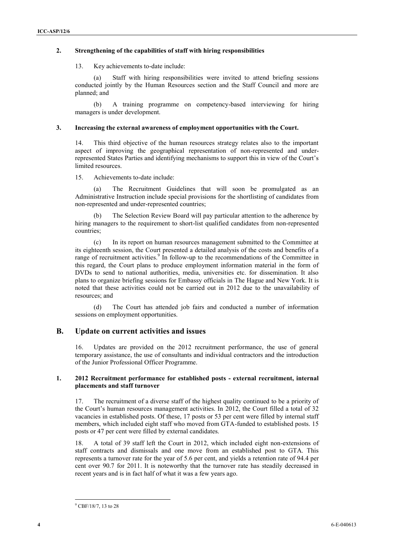## **2. Strengthening of the capabilities of staff with hiring responsibilities**

13. Key achievements to-date include:

(a) Staff with hiring responsibilities were invited to attend briefing sessions conducted jointly by the Human Resources section and the Staff Council and more are planned; and

(b) A training programme on competency-based interviewing for hiring managers is under development.

#### **3. Increasing the external awareness of employment opportunities with the Court.**

14. This third objective of the human resources strategy relates also to the important aspect of improving the geographical representation of non-represented and underrepresented States Parties and identifying mechanisms to support this in view of the Court's limited resources.

15. Achievements to-date include:

The Recruitment Guidelines that will soon be promulgated as an Administrative Instruction include special provisions for the shortlisting of candidates from non-represented and under-represented countries;

(b) The Selection Review Board will pay particular attention to the adherence by hiring managers to the requirement to short-list qualified candidates from non-represented countries;

(c) In its report on human resources management submitted to the Committee at its eighteenth session, the Court presented a detailed analysis of the costs and benefits of a range of recruitment activities.<sup>9</sup> In follow-up to the recommendations of the Committee in this regard, the Court plans to produce employment information material in the form of DVDs to send to national authorities, media, universities etc. for dissemination. It also plans to organize briefing sessions for Embassy officials in The Hague and New York. It is noted that these activities could not be carried out in 2012 due to the unavailability of resources; and

(d) The Court has attended job fairs and conducted a number of information sessions on employment opportunities.

# **B. Update on current activities and issues**

16. Updates are provided on the 2012 recruitment performance, the use of general temporary assistance, the use of consultants and individual contractors and the introduction of the Junior Professional Officer Programme.

## **1. 2012 Recruitment performance for established posts - external recruitment, internal placements and staff turnover**

17. The recruitment of a diverse staff of the highest quality continued to be a priority of the Court's human resources management activities. In 2012, the Court filled a total of 32 vacancies in established posts. Of these, 17 posts or 53 per cent were filled by internal staff members, which included eight staff who moved from GTA-funded to established posts. 15 posts or 47 per cent were filled by external candidates.

18. A total of 39 staff left the Court in 2012, which included eight non-extensions of staff contracts and dismissals and one move from an established post to GTA. This represents a turnover rate for the year of 5.6 per cent, and yields a retention rate of 94.4 per cent over 90.7 for 2011. It is noteworthy that the turnover rate has steadily decreased in recent years and is in fact half of what it was a few years ago.

<sup>&</sup>lt;sup>9</sup> CBF/18/7, 13 to 28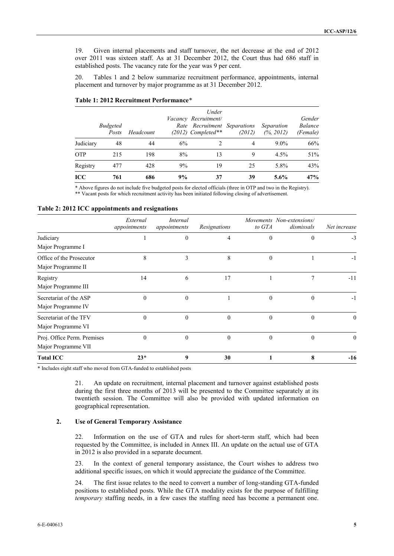19. Given internal placements and staff turnover, the net decrease at the end of 2012 over 2011 was sixteen staff. As at 31 December 2012, the Court thus had 686 staff in established posts. The vacancy rate for the year was 9 per cent.

20. Tables 1 and 2 below summarize recruitment performance, appointments, internal placement and turnover by major programme as at 31 December 2012.

|           | <b>Budgeted</b><br>Posts | Headcount |    | Under<br>Vacancy Recruitment/<br>Rate Recruitment Separations<br>$(2012)$ Completed** | (2012) | Separation<br>(% 2012) | Gender<br><b>Balance</b><br>(Female) |
|-----------|--------------------------|-----------|----|---------------------------------------------------------------------------------------|--------|------------------------|--------------------------------------|
| Judiciary | 48                       | 44        | 6% | 2                                                                                     | 4      | $9.0\%$                | 66%                                  |
| OTP       | 215                      | 198       | 8% | 13                                                                                    | 9      | 4.5%                   | 51%                                  |
| Registry  | 477                      | 428       | 9% | 19                                                                                    | 25     | 5.8%                   | 43%                                  |
| ICC       | 761                      | 686       | 9% | 37                                                                                    | 39     | $5.6\%$                | 47%                                  |

|  |  |  |  |  | Table 1: 2012 Recruitment Performance* |
|--|--|--|--|--|----------------------------------------|
|--|--|--|--|--|----------------------------------------|

\* Above figures do not include five budgeted posts for elected officials (three in OTP and two in the Registry). \*\* Vacant posts for which recruitment activity has been initiated following closing of advertisement.

#### **Table 2: 2012 ICC appointments and resignations**

|                             | External<br>appointments | Internal<br>appointments | Resignations | to GTA       | Movements Non-extensions/<br>dismissals | Net increase |
|-----------------------------|--------------------------|--------------------------|--------------|--------------|-----------------------------------------|--------------|
| Judiciary                   |                          | $\theta$                 | 4            | $\mathbf{0}$ | $\overline{0}$                          | $-3$         |
| Major Programme I           |                          |                          |              |              |                                         |              |
| Office of the Prosecutor    | 8                        | 3                        | 8            | $\theta$     |                                         | $-1$         |
| Major Programme II          |                          |                          |              |              |                                         |              |
| Registry                    | 14                       | 6                        | 17           |              | 7                                       | $-11$        |
| Major Programme III         |                          |                          |              |              |                                         |              |
| Secretariat of the ASP      | $\theta$                 | $\theta$                 |              | $\theta$     | $\theta$                                | $-1$         |
| Major Programme IV          |                          |                          |              |              |                                         |              |
| Secretariat of the TFV      | $\theta$                 | $\Omega$                 | $\theta$     | $\mathbf{0}$ | $\theta$                                | $\theta$     |
| Major Programme VI          |                          |                          |              |              |                                         |              |
| Proj. Office Perm. Premises | $\theta$                 | $\Omega$                 | $\theta$     | $\theta$     | $\theta$                                | $\theta$     |
| Major Programme VII         |                          |                          |              |              |                                         |              |
| <b>Total ICC</b>            | $23*$                    | 9                        | 30           |              | 8                                       | $-16$        |

\* Includes eight staff who moved from GTA-funded to established posts

21. An update on recruitment, internal placement and turnover against established posts during the first three months of 2013 will be presented to the Committee separately at its twentieth session. The Committee will also be provided with updated information on geographical representation.

## **2. Use of General Temporary Assistance**

22. Information on the use of GTA and rules for short-term staff, which had been requested by the Committee, is included in Annex III. An update on the actual use of GTA in 2012 is also provided in a separate document.

23. In the context of general temporary assistance, the Court wishes to address two additional specific issues, on which it would appreciate the guidance of the Committee.

24. The first issue relates to the need to convert a number of long-standing GTA-funded positions to established posts. While the GTA modality exists for the purpose of fulfilling *temporary* staffing needs, in a few cases the staffing need has become a permanent one.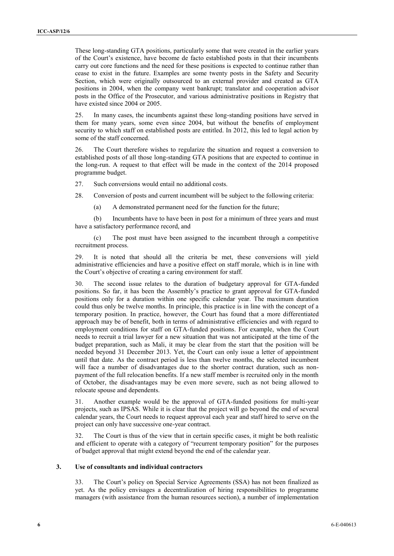These long-standing GTA positions, particularly some that were created in the earlier years of the Court's existence, have become de facto established posts in that their incumbents carry out core functions and the need for these positions is expected to continue rather than cease to exist in the future. Examples are some twenty posts in the Safety and Security Section, which were originally outsourced to an external provider and created as GTA positions in 2004, when the company went bankrupt; translator and cooperation advisor posts in the Office of the Prosecutor, and various administrative positions in Registry that have existed since 2004 or 2005.

25. In many cases, the incumbents against these long-standing positions have served in them for many years, some even since 2004, but without the benefits of employment security to which staff on established posts are entitled. In 2012, this led to legal action by some of the staff concerned.

26. The Court therefore wishes to regularize the situation and request a conversion to established posts of all those long-standing GTA positions that are expected to continue in the long-run. A request to that effect will be made in the context of the 2014 proposed programme budget.

27. Such conversions would entail no additional costs.

28. Conversion of posts and current incumbent will be subject to the following criteria:

(a) A demonstrated permanent need for the function for the future;

(b) Incumbents have to have been in post for a minimum of three years and must have a satisfactory performance record, and

(c) The post must have been assigned to the incumbent through a competitive recruitment process.

29. It is noted that should all the criteria be met, these conversions will yield administrative efficiencies and have a positive effect on staff morale, which is in line with the Court's objective of creating a caring environment for staff.

30. The second issue relates to the duration of budgetary approval for GTA-funded positions. So far, it has been the Assembly's practice to grant approval for GTA-funded positions only for a duration within one specific calendar year. The maximum duration could thus only be twelve months. In principle, this practice is in line with the concept of a temporary position. In practice, however, the Court has found that a more differentiated approach may be of benefit, both in terms of administrative efficiencies and with regard to employment conditions for staff on GTA-funded positions. For example, when the Court needs to recruit a trial lawyer for a new situation that was not anticipated at the time of the budget preparation, such as Mali, it may be clear from the start that the position will be needed beyond 31 December 2013. Yet, the Court can only issue a letter of appointment until that date. As the contract period is less than twelve months, the selected incumbent will face a number of disadvantages due to the shorter contract duration, such as nonpayment of the full relocation benefits. If a new staff member is recruited only in the month of October, the disadvantages may be even more severe, such as not being allowed to relocate spouse and dependents.

31. Another example would be the approval of GTA-funded positions for multi-year projects, such as IPSAS. While it is clear that the project will go beyond the end of several calendar years, the Court needs to request approval each year and staff hired to serve on the project can only have successive one-year contract.

32. The Court is thus of the view that in certain specific cases, it might be both realistic and efficient to operate with a category of "recurrent temporary position" for the purposes of budget approval that might extend beyond the end of the calendar year.

#### **3. Use of consultants and individual contractors**

33. The Court's policy on Special Service Agreements (SSA) has not been finalized as yet. As the policy envisages a decentralization of hiring responsibilities to programme managers (with assistance from the human resources section), a number of implementation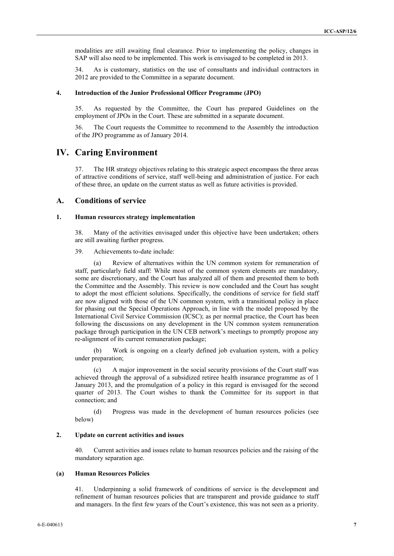modalities are still awaiting final clearance. Prior to implementing the policy, changes in SAP will also need to be implemented. This work is envisaged to be completed in 2013.

34. As is customary, statistics on the use of consultants and individual contractors in 2012 are provided to the Committee in a separate document.

#### **4. Introduction of the Junior Professional Officer Programme (JPO)**

35. As requested by the Committee, the Court has prepared Guidelines on the employment of JPOs in the Court. These are submitted in a separate document.

36. The Court requests the Committee to recommend to the Assembly the introduction of the JPO programme as of January 2014.

# **IV. Caring Environment**

37. The HR strategy objectives relating to this strategic aspect encompass the three areas of attractive conditions of service, staff well-being and administration of justice. For each of these three, an update on the current status as well as future activities is provided.

# **A. Conditions of service**

#### **1. Human resources strategy implementation**

38. Many of the activities envisaged under this objective have been undertaken; others are still awaiting further progress.

39. Achievements to-date include:

Review of alternatives within the UN common system for remuneration of staff, particularly field staff: While most of the common system elements are mandatory, some are discretionary, and the Court has analyzed all of them and presented them to both the Committee and the Assembly. This review is now concluded and the Court has sought to adopt the most efficient solutions. Specifically, the conditions of service for field staff are now aligned with those of the UN common system, with a transitional policy in place for phasing out the Special Operations Approach, in line with the model proposed by the International Civil Service Commission (ICSC); as per normal practice, the Court has been following the discussions on any development in the UN common system remuneration package through participation in the UN CEB network's meetings to promptly propose any re-alignment of its current remuneration package;

(b) Work is ongoing on a clearly defined job evaluation system, with a policy under preparation;

(c) A major improvement in the social security provisions of the Court staff was achieved through the approval of a subsidized retiree health insurance programme as of 1 January 2013, and the promulgation of a policy in this regard is envisaged for the second quarter of 2013. The Court wishes to thank the Committee for its support in that connection; and

(d) Progress was made in the development of human resources policies (see below)

#### **2. Update on current activities and issues**

40. Current activities and issues relate to human resources policies and the raising of the mandatory separation age.

## **(a) Human Resources Policies**

41. Underpinning a solid framework of conditions of service is the development and refinement of human resources policies that are transparent and provide guidance to staff and managers. In the first few years of the Court's existence, this was not seen as a priority.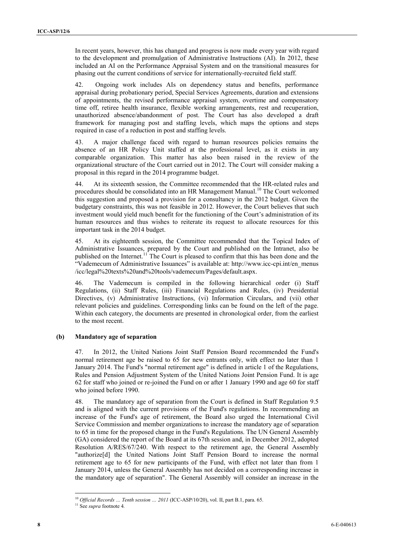In recent years, however, this has changed and progress is now made every year with regard to the development and promulgation of Administrative Instructions (AI). In 2012, these included an AI on the Performance Appraisal System and on the transitional measures for phasing out the current conditions of service for internationally-recruited field staff.

42. Ongoing work includes AIs on dependency status and benefits, performance appraisal during probationary period, Special Services Agreements, duration and extensions of appointments, the revised performance appraisal system, overtime and compensatory time off, retiree health insurance, flexible working arrangements, rest and recuperation, unauthorized absence/abandonment of post. The Court has also developed a draft framework for managing post and staffing levels, which maps the options and steps required in case of a reduction in post and staffing levels.

43. A major challenge faced with regard to human resources policies remains the absence of an HR Policy Unit staffed at the professional level, as it exists in any comparable organization. This matter has also been raised in the review of the organizational structure of the Court carried out in 2012. The Court will consider making a proposal in this regard in the 2014 programme budget.

44. At its sixteenth session, the Committee recommended that the HR-related rules and procedures should be consolidated into an HR Management Manual.<sup>10</sup> The Court welcomed this suggestion and proposed a provision for a consultancy in the 2012 budget. Given the budgetary constraints, this was not feasible in 2012. However, the Court believes that such investment would yield much benefit for the functioning of the Court's administration of its human resources and thus wishes to reiterate its request to allocate resources for this important task in the 2014 budget.

45. At its eighteenth session, the Committee recommended that the Topical Index of Administrative Issuances, prepared by the Court and published on the Intranet, also be published on the Internet.<sup>11</sup> The Court is pleased to confirm that this has been done and the "Vademecum of Administrative Issuances" is available at: [http://www.icc-cpi.int/en\\_menus](https://webmail.icc-cpi.int/exchweb/bin/redir.asp?URL=http://www.icc-cpi.int/en_menus/icc/legal%2520texts%2520and%2520tools/vademecum/Pages/default.aspx) [/icc/legal%20texts%20and%20tools/vademecum/Pages/default.aspx.](https://webmail.icc-cpi.int/exchweb/bin/redir.asp?URL=http://www.icc-cpi.int/en_menus/icc/legal%2520texts%2520and%2520tools/vademecum/Pages/default.aspx) 

46. The Vademecum is compiled in the following hierarchical order (i) Staff Regulations, (ii) Staff Rules, (iii) Financial Regulations and Rules, (iv) Presidential Directives, (v) Administrative Instructions, (vi) Information Circulars, and (vii) other relevant policies and guidelines. Corresponding links can be found on the left of the page. Within each category, the documents are presented in chronological order, from the earliest to the most recent.

# **(b) Mandatory age of separation**

47. In 2012, the United Nations Joint Staff Pension Board recommended the Fund's normal retirement age be raised to 65 for new entrants only, with effect no later than 1 January 2014. The Fund's "normal retirement age" is defined in article 1 of the Regulations, Rules and Pension Adjustment System of the United Nations Joint Pension Fund. It is age 62 for staff who joined or re-joined the Fund on or after 1 January 1990 and age 60 for staff who joined before 1990.

48. The mandatory age of separation from the Court is defined in Staff Regulation 9.5 and is aligned with the current provisions of the Fund's regulations. In recommending an increase of the Fund's age of retirement, the Board also urged the International Civil Service Commission and member organizations to increase the mandatory age of separation to 65 in time for the proposed change in the Fund's Regulations. The UN General Assembly (GA) considered the report of the Board at its 67th session and, in December 2012, adopted Resolution A/RES/67/240. With respect to the retirement age, the General Assembly "authorize[d] the United Nations Joint Staff Pension Board to increase the normal retirement age to 65 for new participants of the Fund, with effect not later than from 1 January 2014, unless the General Assembly has not decided on a corresponding increase in the mandatory age of separation". The General Assembly will consider an increase in the

<sup>10</sup> *Official Records … Tenth session … 2011* (ICC-ASP/10/20), vol. II, part B.1, para. 65.

<sup>11</sup> See *supra* footnote 4*.*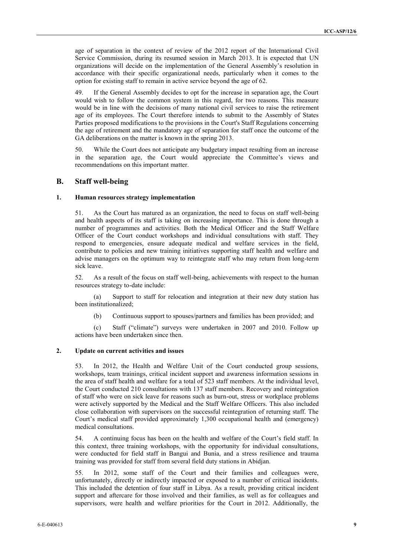age of separation in the context of review of the 2012 report of the International Civil Service Commission, during its resumed session in March 2013. It is expected that UN organizations will decide on the implementation of the General Assembly's resolution in accordance with their specific organizational needs, particularly when it comes to the option for existing staff to remain in active service beyond the age of 62.

49. If the General Assembly decides to opt for the increase in separation age, the Court would wish to follow the common system in this regard, for two reasons. This measure would be in line with the decisions of many national civil services to raise the retirement age of its employees. The Court therefore intends to submit to the Assembly of States Parties proposed modifications to the provisions in the Court's Staff Regulations concerning the age of retirement and the mandatory age of separation for staff once the outcome of the GA deliberations on the matter is known in the spring 2013.

50. While the Court does not anticipate any budgetary impact resulting from an increase in the separation age, the Court would appreciate the Committee's views and recommendations on this important matter.

# **B. Staff well-being**

#### **1. Human resources strategy implementation**

51. As the Court has matured as an organization, the need to focus on staff well-being and health aspects of its staff is taking on increasing importance. This is done through a number of programmes and activities. Both the Medical Officer and the Staff Welfare Officer of the Court conduct workshops and individual consultations with staff. They respond to emergencies, ensure adequate medical and welfare services in the field, contribute to policies and new training initiatives supporting staff health and welfare and advise managers on the optimum way to reintegrate staff who may return from long-term sick leave.

52. As a result of the focus on staff well-being, achievements with respect to the human resources strategy to-date include:

(a) Support to staff for relocation and integration at their new duty station has been institutionalized;

(b) Continuous support to spouses/partners and families has been provided; and

(c) Staff ("climate") surveys were undertaken in 2007 and 2010. Follow up actions have been undertaken since then.

## **2. Update on current activities and issues**

53. In 2012, the Health and Welfare Unit of the Court conducted group sessions, workshops, team trainings, critical incident support and awareness information sessions in the area of staff health and welfare for a total of 523 staff members. At the individual level, the Court conducted 210 consultations with 137 staff members. Recovery and reintegration of staff who were on sick leave for reasons such as burn-out, stress or workplace problems were actively supported by the Medical and the Staff Welfare Officers. This also included close collaboration with supervisors on the successful reintegration of returning staff. The Court's medical staff provided approximately 1,300 occupational health and (emergency) medical consultations.

54. A continuing focus has been on the health and welfare of the Court's field staff. In this context, three training workshops, with the opportunity for individual consultations, were conducted for field staff in Bangui and Bunia, and a stress resilience and trauma training was provided for staff from several field duty stations in Abidjan.

55. In 2012, some staff of the Court and their families and colleagues were, unfortunately, directly or indirectly impacted or exposed to a number of critical incidents. This included the detention of four staff in Libya. As a result, providing critical incident support and aftercare for those involved and their families, as well as for colleagues and supervisors, were health and welfare priorities for the Court in 2012. Additionally, the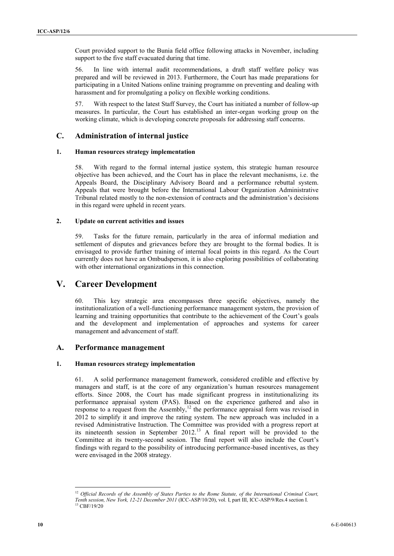Court provided support to the Bunia field office following attacks in November, including support to the five staff evacuated during that time.

56. In line with internal audit recommendations, a draft staff welfare policy was prepared and will be reviewed in 2013. Furthermore, the Court has made preparations for participating in a United Nations online training programme on preventing and dealing with harassment and for promulgating a policy on flexible working conditions.

57. With respect to the latest Staff Survey, the Court has initiated a number of follow-up measures. In particular, the Court has established an inter-organ working group on the working climate, which is developing concrete proposals for addressing staff concerns.

# **C. Administration of internal justice**

## **1. Human resources strategy implementation**

58. With regard to the formal internal justice system, this strategic human resource objective has been achieved, and the Court has in place the relevant mechanisms, i.e. the Appeals Board, the Disciplinary Advisory Board and a performance rebuttal system. Appeals that were brought before the International Labour Organization Administrative Tribunal related mostly to the non-extension of contracts and the administration's decisions in this regard were upheld in recent years.

# **2. Update on current activities and issues**

59. Tasks for the future remain, particularly in the area of informal mediation and settlement of disputes and grievances before they are brought to the formal bodies. It is envisaged to provide further training of internal focal points in this regard. As the Court currently does not have an Ombudsperson, it is also exploring possibilities of collaborating with other international organizations in this connection.

# **V. Career Development**

60. This key strategic area encompasses three specific objectives, namely the institutionalization of a well-functioning performance management system, the provision of learning and training opportunities that contribute to the achievement of the Court's goals and the development and implementation of approaches and systems for career management and advancement of staff.

# **A. Performance management**

# **1. Human resources strategy implementation**

61. A solid performance management framework, considered credible and effective by managers and staff, is at the core of any organization's human resources management efforts. Since 2008, the Court has made significant progress in institutionalizing its performance appraisal system (PAS). Based on the experience gathered and also in response to a request from the Assembly,<sup>12</sup> the performance appraisal form was revised in 2012 to simplify it and improve the rating system. The new approach was included in a revised Administrative Instruction. The Committee was provided with a progress report at its nineteenth session in September  $2012<sup>13</sup>$  A final report will be provided to the Committee at its twenty-second session. The final report will also include the Court's findings with regard to the possibility of introducing performance-based incentives, as they were envisaged in the 2008 strategy.

 $\overline{a}$ <sup>12</sup> Official Records of the Assembly of States Parties to the Rome Statute, of the International Criminal Court, *Tenth session, New York, 12-21 December 2011* (ICC-ASP/10/20), vol. I, part III, ICC-ASP/9/Res.4 section I. <sup>13</sup> CBF/19/20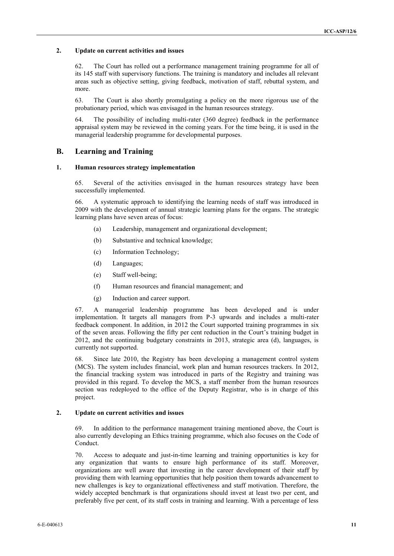# **2. Update on current activities and issues**

62. The Court has rolled out a performance management training programme for all of its 145 staff with supervisory functions. The training is mandatory and includes all relevant areas such as objective setting, giving feedback, motivation of staff, rebuttal system, and more.

63. The Court is also shortly promulgating a policy on the more rigorous use of the probationary period, which was envisaged in the human resources strategy.

64. The possibility of including multi-rater (360 degree) feedback in the performance appraisal system may be reviewed in the coming years. For the time being, it is used in the managerial leadership programme for developmental purposes.

# **B. Learning and Training**

## **1. Human resources strategy implementation**

65. Several of the activities envisaged in the human resources strategy have been successfully implemented.

66. A systematic approach to identifying the learning needs of staff was introduced in 2009 with the development of annual strategic learning plans for the organs. The strategic learning plans have seven areas of focus:

- (a) Leadership, management and organizational development;
- (b) Substantive and technical knowledge;
- (c) Information Technology;
- (d) Languages;
- (e) Staff well-being;
- (f) Human resources and financial management; and
- (g) Induction and career support.

67. A managerial leadership programme has been developed and is under implementation. It targets all managers from P-3 upwards and includes a multi-rater feedback component. In addition, in 2012 the Court supported training programmes in six of the seven areas. Following the fifty per cent reduction in the Court's training budget in 2012, and the continuing budgetary constraints in 2013, strategic area (d), languages, is currently not supported.

68. Since late 2010, the Registry has been developing a management control system (MCS). The system includes financial, work plan and human resources trackers. In 2012, the financial tracking system was introduced in parts of the Registry and training was provided in this regard. To develop the MCS, a staff member from the human resources section was redeployed to the office of the Deputy Registrar, who is in charge of this project.

#### **2. Update on current activities and issues**

69. In addition to the performance management training mentioned above, the Court is also currently developing an Ethics training programme, which also focuses on the Code of Conduct.

70. Access to adequate and just-in-time learning and training opportunities is key for any organization that wants to ensure high performance of its staff. Moreover, organizations are well aware that investing in the career development of their staff by providing them with learning opportunities that help position them towards advancement to new challenges is key to organizational effectiveness and staff motivation. Therefore, the widely accepted benchmark is that organizations should invest at least two per cent, and preferably five per cent, of its staff costs in training and learning. With a percentage of less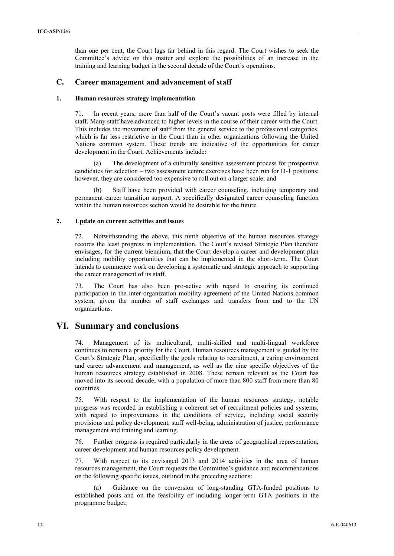than one per cent, the Court lags far behind in this regard. The Court wishes to seek the Committee's advice on this matter and explore the possibilities of an increase in the training and learning budget in the second decade of the Court's operations.

# **C. Career management and advancement of staff**

### **1. Human resources strategy implementation**

71. In recent years, more than half of the Court's vacant posts were filled by internal staff. Many staff have advanced to higher levels in the course of their career with the Court. This includes the movement of staff from the general service to the professional categories, which is far less restrictive in the Court than in other organizations following the United Nations common system. These trends are indicative of the opportunities for career development in the Court. Achievements include:

(a) The development of a culturally sensitive assessment process for prospective candidates for selection – two assessment centre exercises have been run for D-1 positions; however, they are considered too expensive to roll out on a larger scale; and

Staff have been provided with career counseling, including temporary and permanent career transition support. A specifically designated career counseling function within the human resources section would be desirable for the future.

## **2. Update on current activities and issues**

72. Notwithstanding the above, this ninth objective of the human resources strategy records the least progress in implementation. The Court's revised Strategic Plan therefore envisages, for the current biennium, that the Court develop a career and development plan including mobility opportunities that can be implemented in the short-term. The Court intends to commence work on developing a systematic and strategic approach to supporting the career management of its staff.

73. The Court has also been pro-active with regard to ensuring its continued participation in the inter-organization mobility agreement of the United Nations common system, given the number of staff exchanges and transfers from and to the UN organizations.

# **VI. Summary and conclusions**

74. Management of its multicultural, multi-skilled and multi-lingual workforce continues to remain a priority for the Court. Human resources management is guided by the Court's Strategic Plan, specifically the goals relating to recruitment, a caring environment and career advancement and management, as well as the nine specific objectives of the human resources strategy established in 2008. These remain relevant as the Court has moved into its second decade, with a population of more than 800 staff from more than 80 countries.

75. With respect to the implementation of the human resources strategy, notable progress was recorded in establishing a coherent set of recruitment policies and systems, with regard to improvements in the conditions of service, including social security provisions and policy development, staff well-being, administration of justice, performance management and training and learning.

76. Further progress is required particularly in the areas of geographical representation, career development and human resources policy development.

77. With respect to its envisaged 2013 and 2014 activities in the area of human resources management, the Court requests the Committee's guidance and recommendations on the following specific issues, outlined in the preceding sections:

Guidance on the conversion of long-standing GTA-funded positions to established posts and on the feasibility of including longer-term GTA positions in the programme budget;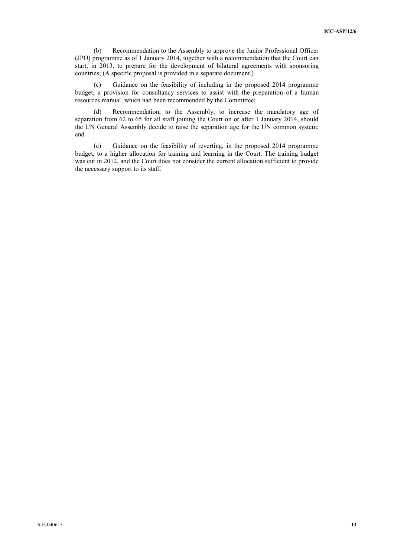(b) Recommendation to the Assembly to approve the Junior Professional Officer (JPO) programme as of 1 January 2014, together with a recommendation that the Court can start, in 2013, to prepare for the development of bilateral agreements with sponsoring countries; (A specific proposal is provided in a separate document.)

(c) Guidance on the feasibility of including in the proposed 2014 programme budget, a provision for consultancy services to assist with the preparation of a human resources manual, which had been recommended by the Committee;

(d) Recommendation, to the Assembly, to increase the mandatory age of separation from 62 to 65 for all staff joining the Court on or after 1 January 2014, should the UN General Assembly decide to raise the separation age for the UN common system; and

(e) Guidance on the feasibility of reverting, in the proposed 2014 programme budget, to a higher allocation for training and learning in the Court. The training budget was cut in 2012, and the Court does not consider the current allocation sufficient to provide the necessary support to its staff.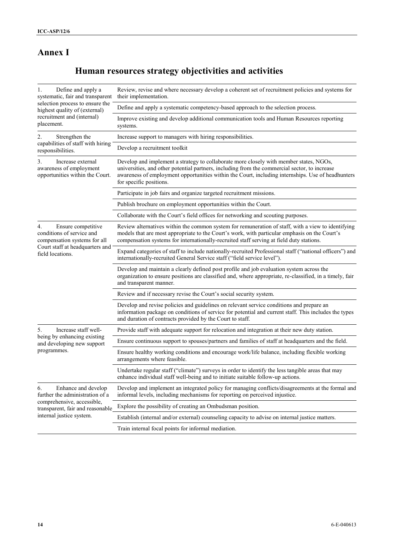# **Annex I**

# **Human resources strategy objectivities and activities**

| Define and apply a<br>1.<br>systematic, fair and transparent                                                                                 | Review, revise and where necessary develop a coherent set of recruitment policies and systems for<br>their implementation.                                                                                                                                                                                              |  |  |  |  |  |
|----------------------------------------------------------------------------------------------------------------------------------------------|-------------------------------------------------------------------------------------------------------------------------------------------------------------------------------------------------------------------------------------------------------------------------------------------------------------------------|--|--|--|--|--|
| selection process to ensure the<br>highest quality of (external)                                                                             | Define and apply a systematic competency-based approach to the selection process.                                                                                                                                                                                                                                       |  |  |  |  |  |
| recruitment and (internal)<br>placement.                                                                                                     | Improve existing and develop additional communication tools and Human Resources reporting<br>systems.                                                                                                                                                                                                                   |  |  |  |  |  |
| 2.<br>Strengthen the                                                                                                                         | Increase support to managers with hiring responsibilities.                                                                                                                                                                                                                                                              |  |  |  |  |  |
| capabilities of staff with hiring<br>responsibilities.                                                                                       | Develop a recruitment toolkit                                                                                                                                                                                                                                                                                           |  |  |  |  |  |
| Increase external<br>3.<br>awareness of employment<br>opportunities within the Court.                                                        | Develop and implement a strategy to collaborate more closely with member states, NGOs,<br>universities, and other potential partners, including from the commercial sector, to increase<br>awareness of employment opportunities within the Court, including internships. Use of headhunters<br>for specific positions. |  |  |  |  |  |
|                                                                                                                                              | Participate in job fairs and organize targeted recruitment missions.                                                                                                                                                                                                                                                    |  |  |  |  |  |
|                                                                                                                                              | Publish brochure on employment opportunities within the Court.                                                                                                                                                                                                                                                          |  |  |  |  |  |
|                                                                                                                                              | Collaborate with the Court's field offices for networking and scouting purposes.                                                                                                                                                                                                                                        |  |  |  |  |  |
| 4.<br>Ensure competitive<br>conditions of service and<br>compensation systems for all<br>Court staff at headquarters and<br>field locations. | Review alternatives within the common system for remuneration of staff, with a view to identifying<br>models that are most appropriate to the Court's work, with particular emphasis on the Court's<br>compensation systems for internationally-recruited staff serving at field duty stations.                         |  |  |  |  |  |
|                                                                                                                                              | Expand categories of staff to include nationally-recruited Professional staff ("national officers") and<br>internationally-recruited General Service staff ("field service level").                                                                                                                                     |  |  |  |  |  |
|                                                                                                                                              | Develop and maintain a clearly defined post profile and job evaluation system across the<br>organization to ensure positions are classified and, where appropriate, re-classified, in a timely, fair<br>and transparent manner.                                                                                         |  |  |  |  |  |
|                                                                                                                                              | Review and if necessary revise the Court's social security system.                                                                                                                                                                                                                                                      |  |  |  |  |  |
|                                                                                                                                              | Develop and revise policies and guidelines on relevant service conditions and prepare an<br>information package on conditions of service for potential and current staff. This includes the types<br>and duration of contracts provided by the Court to staff.                                                          |  |  |  |  |  |
| Increase staff well-<br>5.<br>being by enhancing existing<br>and developing new support<br>programmes.                                       | Provide staff with adequate support for relocation and integration at their new duty station.                                                                                                                                                                                                                           |  |  |  |  |  |
|                                                                                                                                              | Ensure continuous support to spouses/partners and families of staff at headquarters and the field.                                                                                                                                                                                                                      |  |  |  |  |  |
|                                                                                                                                              | Ensure healthy working conditions and encourage work/life balance, including flexible working<br>arrangements where feasible.                                                                                                                                                                                           |  |  |  |  |  |
|                                                                                                                                              | Undertake regular staff ("climate") surveys in order to identify the less tangible areas that may<br>enhance individual staff well-being and to initiate suitable follow-up actions.                                                                                                                                    |  |  |  |  |  |
| 6.<br>Enhance and develop<br>further the administration of a                                                                                 | Develop and implement an integrated policy for managing conflicts/disagreements at the formal and<br>informal levels, including mechanisms for reporting on perceived injustice.                                                                                                                                        |  |  |  |  |  |
| comprehensive, accessible,<br>transparent, fair and reasonable                                                                               | Explore the possibility of creating an Ombudsman position.                                                                                                                                                                                                                                                              |  |  |  |  |  |
| internal justice system.                                                                                                                     | Establish (internal and/or external) counseling capacity to advise on internal justice matters.                                                                                                                                                                                                                         |  |  |  |  |  |
|                                                                                                                                              | Train internal focal points for informal mediation.                                                                                                                                                                                                                                                                     |  |  |  |  |  |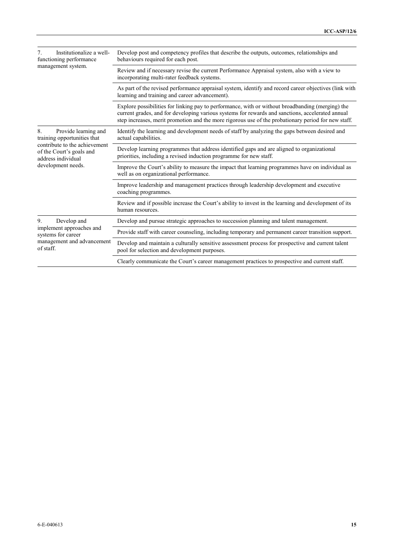| Institutionalize a well-<br>functioning performance                                                                                                                | Develop post and competency profiles that describe the outputs, outcomes, relationships and<br>behaviours required for each post.                                                                                                                                                                           |  |  |  |  |
|--------------------------------------------------------------------------------------------------------------------------------------------------------------------|-------------------------------------------------------------------------------------------------------------------------------------------------------------------------------------------------------------------------------------------------------------------------------------------------------------|--|--|--|--|
| management system.                                                                                                                                                 | Review and if necessary revise the current Performance Appraisal system, also with a view to<br>incorporating multi-rater feedback systems.                                                                                                                                                                 |  |  |  |  |
|                                                                                                                                                                    | As part of the revised performance appraisal system, identify and record career objectives (link with<br>learning and training and career advancement).                                                                                                                                                     |  |  |  |  |
|                                                                                                                                                                    | Explore possibilities for linking pay to performance, with or without broadbanding (merging) the<br>current grades, and for developing various systems for rewards and sanctions, accelerated annual<br>step increases, merit promotion and the more rigorous use of the probationary period for new staff. |  |  |  |  |
| Provide learning and<br>8.<br>training opportunities that<br>contribute to the achievement<br>of the Court's goals and<br>address individual<br>development needs. | Identify the learning and development needs of staff by analyzing the gaps between desired and<br>actual capabilities.                                                                                                                                                                                      |  |  |  |  |
|                                                                                                                                                                    | Develop learning programmes that address identified gaps and are aligned to organizational<br>priorities, including a revised induction programme for new staff.                                                                                                                                            |  |  |  |  |
|                                                                                                                                                                    | Improve the Court's ability to measure the impact that learning programmes have on individual as<br>well as on organizational performance.                                                                                                                                                                  |  |  |  |  |
|                                                                                                                                                                    | Improve leadership and management practices through leadership development and executive<br>coaching programmes.                                                                                                                                                                                            |  |  |  |  |
|                                                                                                                                                                    | Review and if possible increase the Court's ability to invest in the learning and development of its<br>human resources.                                                                                                                                                                                    |  |  |  |  |
| Develop and<br>9.<br>implement approaches and<br>systems for career<br>management and advancement<br>of staff.                                                     | Develop and pursue strategic approaches to succession planning and talent management.                                                                                                                                                                                                                       |  |  |  |  |
|                                                                                                                                                                    | Provide staff with career counseling, including temporary and permanent career transition support.                                                                                                                                                                                                          |  |  |  |  |
|                                                                                                                                                                    | Develop and maintain a culturally sensitive assessment process for prospective and current talent<br>pool for selection and development purposes.                                                                                                                                                           |  |  |  |  |
|                                                                                                                                                                    | Clearly communicate the Court's career management practices to prospective and current staff.                                                                                                                                                                                                               |  |  |  |  |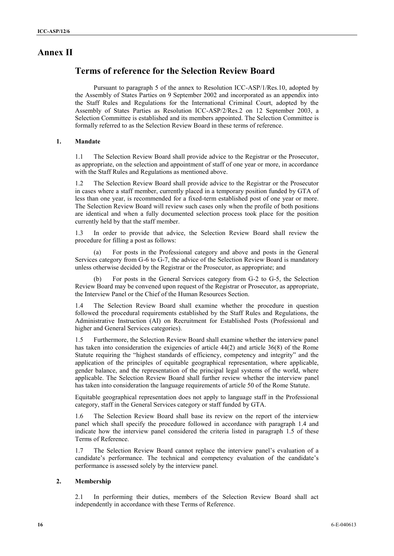# **Annex II**

# **Terms of reference for the Selection Review Board**

Pursuant to paragraph 5 of the annex to Resolution ICC-ASP/1/Res.10, adopted by the Assembly of States Parties on 9 September 2002 and incorporated as an appendix into the Staff Rules and Regulations for the International Criminal Court, adopted by the Assembly of States Parties as Resolution ICC-ASP/2/Res.2 on 12 September 2003, a Selection Committee is established and its members appointed. The Selection Committee is formally referred to as the Selection Review Board in these terms of reference.

## **1. Mandate**

1.1 The Selection Review Board shall provide advice to the Registrar or the Prosecutor, as appropriate, on the selection and appointment of staff of one year or more, in accordance with the Staff Rules and Regulations as mentioned above.

1.2 The Selection Review Board shall provide advice to the Registrar or the Prosecutor in cases where a staff member, currently placed in a temporary position funded by GTA of less than one year, is recommended for a fixed-term established post of one year or more. The Selection Review Board will review such cases only when the profile of both positions are identical and when a fully documented selection process took place for the position currently held by that the staff member.

1.3 In order to provide that advice, the Selection Review Board shall review the procedure for filling a post as follows:

(a) For posts in the Professional category and above and posts in the General Services category from G-6 to G-7, the advice of the Selection Review Board is mandatory unless otherwise decided by the Registrar or the Prosecutor, as appropriate; and

For posts in the General Services category from G-2 to G-5, the Selection Review Board may be convened upon request of the Registrar or Prosecutor, as appropriate, the Interview Panel or the Chief of the Human Resources Section.

1.4 The Selection Review Board shall examine whether the procedure in question followed the procedural requirements established by the Staff Rules and Regulations, the Administrative Instruction (AI) on Recruitment for Established Posts (Professional and higher and General Services categories).

1.5 Furthermore, the Selection Review Board shall examine whether the interview panel has taken into consideration the exigencies of article 44(2) and article 36(8) of the Rome Statute requiring the "highest standards of efficiency, competency and integrity" and the application of the principles of equitable geographical representation, where applicable, gender balance, and the representation of the principal legal systems of the world, where applicable. The Selection Review Board shall further review whether the interview panel has taken into consideration the language requirements of article 50 of the Rome Statute.

Equitable geographical representation does not apply to language staff in the Professional category, staff in the General Services category or staff funded by GTA.

1.6 The Selection Review Board shall base its review on the report of the interview panel which shall specify the procedure followed in accordance with paragraph 1.4 and indicate how the interview panel considered the criteria listed in paragraph 1.5 of these Terms of Reference.

1.7 The Selection Review Board cannot replace the interview panel's evaluation of a candidate's performance. The technical and competency evaluation of the candidate's performance is assessed solely by the interview panel.

#### **2. Membership**

2.1 In performing their duties, members of the Selection Review Board shall act independently in accordance with these Terms of Reference.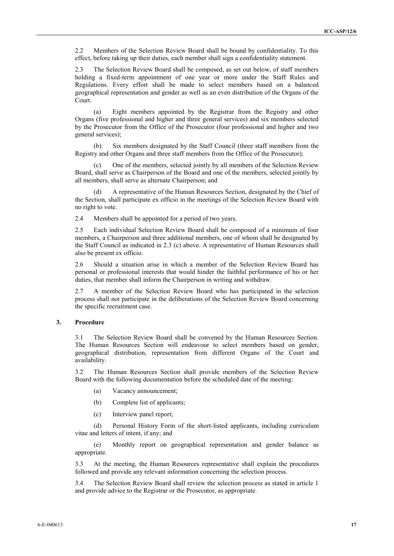2.2 Members of the Selection Review Board shall be bound by confidentiality. To this effect, before taking up their duties, each member shall sign a confidentiality statement.

2.3 The Selection Review Board shall be composed, as set out below, of staff members holding a fixed-term appointment of one year or more under the Staff Rules and Regulations. Every effort shall be made to select members based on a balanced geographical representation and gender as well as an even distribution of the Organs of the Court.

(a) Eight members appointed by the Registrar from the Registry and other Organs (five professional and higher and three general services) and six members selected by the Prosecutor from the Office of the Prosecutor (four professional and higher and two general services);

(b) Six members designated by the Staff Council (three staff members from the Registry and other Organs and three staff members from the Office of the Prosecutor);

(c) One of the members, selected jointly by all members of the Selection Review Board, shall serve as Chairperson of the Board and one of the members, selected jointly by all members, shall serve as alternate Chairperson; and

A representative of the Human Resources Section, designated by the Chief of the Section, shall participate ex officio in the meetings of the Selection Review Board with no right to vote.

2.4 Members shall be appointed for a period of two years.

2.5 Each individual Selection Review Board shall be composed of a minimum of four members, a Chairperson and three additional members, one of whom shall be designated by the Staff Council as indicated in 2.3 (c) above. A representative of Human Resources shall also be present ex officio.

2.6 Should a situation arise in which a member of the Selection Review Board has personal or professional interests that would hinder the faithful performance of his or her duties, that member shall inform the Chairperson in writing and withdraw.

2.7 A member of the Selection Review Board who has participated in the selection process shall not participate in the deliberations of the Selection Review Board concerning the specific recruitment case.

## **3. Procedure**

3.1 The Selection Review Board shall be convened by the Human Resources Section. The Human Resources Section will endeavour to select members based on gender, geographical distribution, representation from different Organs of the Court and availability.

3.2 The Human Resources Section shall provide members of the Selection Review Board with the following documentation before the scheduled date of the meeting:

- (a) Vacancy announcement;
- (b) Complete list of applicants;
- (c) Interview panel report;

(d) Personal History Form of the short-listed applicants, including curriculum vitae and letters of intent, if any; and

(e) Monthly report on geographical representation and gender balance as appropriate.

3.3 At the meeting, the Human Resources representative shall explain the procedures followed and provide any relevant information concerning the selection process.

3.4 The Selection Review Board shall review the selection process as stated in article 1 and provide advice to the Registrar or the Prosecutor, as appropriate.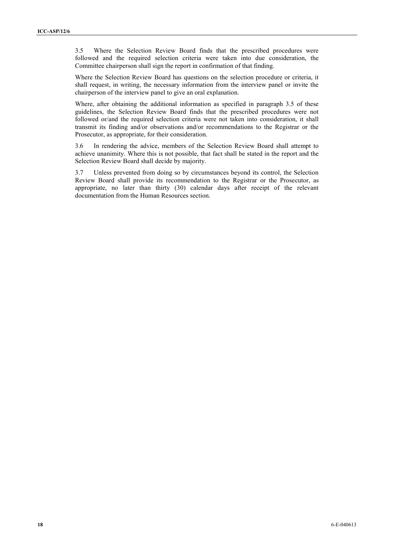3.5 Where the Selection Review Board finds that the prescribed procedures were followed and the required selection criteria were taken into due consideration, the Committee chairperson shall sign the report in confirmation of that finding.

Where the Selection Review Board has questions on the selection procedure or criteria, it shall request, in writing, the necessary information from the interview panel or invite the chairperson of the interview panel to give an oral explanation.

Where, after obtaining the additional information as specified in paragraph 3.5 of these guidelines, the Selection Review Board finds that the prescribed procedures were not followed or/and the required selection criteria were not taken into consideration, it shall transmit its finding and/or observations and/or recommendations to the Registrar or the Prosecutor, as appropriate, for their consideration.

3.6 In rendering the advice, members of the Selection Review Board shall attempt to achieve unanimity. Where this is not possible, that fact shall be stated in the report and the Selection Review Board shall decide by majority.

3.7 Unless prevented from doing so by circumstances beyond its control, the Selection Review Board shall provide its recommendation to the Registrar or the Prosecutor, as appropriate, no later than thirty (30) calendar days after receipt of the relevant documentation from the Human Resources section.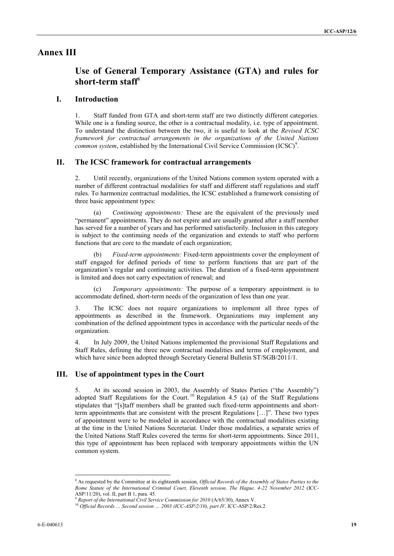# **Annex III**

# **Use of General Temporary Assistance (GTA) and rules for short-term staff**<sup>8</sup>

# **I. Introduction**

1. Staff funded from GTA and short-term staff are two distinctly different categories. While one is a funding source, the other is a contractual modality, i.e. type of appointment. To understand the distinction between the two, it is useful to look at the *Revised ICSC framework for contractual arrangements in the organizations of the United Nations common system*, established by the International Civil Service Commission (ICSC)<sup>9</sup>.

# **II. The ICSC framework for contractual arrangements**

2. Until recently, organizations of the United Nations common system operated with a number of different contractual modalities for staff and different staff regulations and staff rules. To harmonize contractual modalities, the ICSC established a framework consisting of three basic appointment types:

(a) *Continuing appointments:* These are the equivalent of the previously used "permanent" appointments. They do not expire and are usually granted after a staff member has served for a number of years and has performed satisfactorily. Inclusion in this category is subject to the continuing needs of the organization and extends to staff who perform functions that are core to the mandate of each organization;

(b) *Fixed-term appointments:* Fixed-term appointments cover the employment of staff engaged for defined periods of time to perform functions that are part of the organization's regular and continuing activities. The duration of a fixed-term appointment is limited and does not carry expectation of renewal; and

(c) *Temporary appointments:* The purpose of a temporary appointment is to accommodate defined, short-term needs of the organization of less than one year.

3. The ICSC does not require organizations to implement all three types of appointments as described in the framework. Organizations may implement any combination of the defined appointment types in accordance with the particular needs of the organization.

4. In July 2009, the United Nations implemented the provisional Staff Regulations and Staff Rules, defining the three new contractual modalities and terms of employment, and which have since been adopted through Secretary General Bulletin ST/SGB/2011/1.

# **III. Use of appointment types in the Court**

5. At its second session in 2003, the Assembly of States Parties ("the Assembly") adopted Staff Regulations for the Court.<sup>10</sup> Regulation 4.5 (a) of the Staff Regulations stipulates that "[s]taff members shall be granted such fixed-term appointments and shortterm appointments that are consistent with the present Regulations […]". These two types of appointment were to be modeled in accordance with the contractual modalities existing at the time in the United Nations Secretariat. Under those modalities, a separate series of the United Nations Staff Rules covered the terms for short-term appointments. Since 2011, this type of appointment has been replaced with temporary appointments within the UN common system.

<sup>8</sup> As requested by the Committee at its eighteenth session, *Official Records of the Assembly of States Parties to the Rome Statute of the International Criminal Court, Eleventh session, The Hague, 4-22 November 2012* (ICC-ASP/11/20), vol. II, part B 1, para. 45.

<sup>9</sup> *Report of the International Civil Service Commission for 2010* (A/65/30), Annex V.

<sup>10</sup> *Official Records … Second session … 2003 (ICC-ASP/2/10), part IV,* ICC-ASP/2/Res.2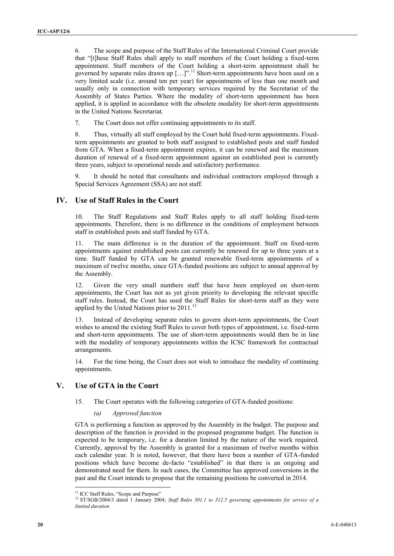6. The scope and purpose of the Staff Rules of the International Criminal Court provide that "[t]hese Staff Rules shall apply to staff members of the Court holding a fixed-term appointment. Staff members of the Court holding a short-term appointment shall be governed by separate rules drawn up  $[...]$ ...]".<sup>11</sup> Short-term appointments have been used on a very limited scale (i.e. around ten per year) for appointments of less than one month and usually only in connection with temporary services required by the Secretariat of the Assembly of States Parties. Where the modality of short-term appointment has been applied, it is applied in accordance with the obsolete modality for short-term appointments in the United Nations Secretariat.

7. The Court does not offer continuing appointments to its staff.

8. Thus, virtually all staff employed by the Court hold fixed-term appointments. Fixedterm appointments are granted to both staff assigned to established posts and staff funded from GTA. When a fixed-term appointment expires, it can be renewed and the maximum duration of renewal of a fixed-term appointment against an established post is currently three years, subject to operational needs and satisfactory performance.

It should be noted that consultants and individual contractors employed through a Special Services Agreement (SSA) are not staff.

# **IV. Use of Staff Rules in the Court**

10. The Staff Regulations and Staff Rules apply to all staff holding fixed-term appointments. Therefore, there is no difference in the conditions of employment between staff in established posts and staff funded by GTA.

11. The main difference is in the duration of the appointment. Staff on fixed-term appointments against established posts can currently be renewed for up to three years at a time. Staff funded by GTA can be granted renewable fixed-term appointments of a maximum of twelve months, since GTA-funded positions are subject to annual approval by the Assembly.

12. Given the very small numbers staff that have been employed on short-term appointments, the Court has not as yet given priority to developing the relevant specific staff rules. Instead, the Court has used the Staff Rules for short-term staff as they were applied by the United Nations prior to 2011.<sup>12</sup>

13. Instead of developing separate rules to govern short-term appointments, the Court wishes to amend the existing Staff Rules to cover both types of appointment, i.e. fixed-term and short-term appointments. The use of short-term appointments would then be in line with the modality of temporary appointments within the ICSC framework for contractual arrangements.

14. For the time being, the Court does not wish to introduce the modality of continuing appointments.

# **V. Use of GTA in the Court**

15. The Court operates with the following categories of GTA-funded positions:

#### *(a) Approved function*

GTA is performing a function as approved by the Assembly in the budget. The purpose and description of the function is provided in the proposed programme budget. The function is expected to be temporary, i.e. for a duration limited by the nature of the work required. Currently, approval by the Assembly is granted for a maximum of twelve months within each calendar year. It is noted, however, that there have been a number of GTA-funded positions which have become de-facto "established" in that there is an ongoing and demonstrated need for them. In such cases, the Committee has approved conversions in the past and the Court intends to propose that the remaining positions be converted in 2014.

 $\overline{a}$ <sup>11</sup> ICC Staff Rules, "Scope and Purpose"

<sup>12</sup> ST/SGB/2004/3 dated 1 January 2004; *Staff Rules 301.1 to 312.5 governing appointments for service of a limited duration*